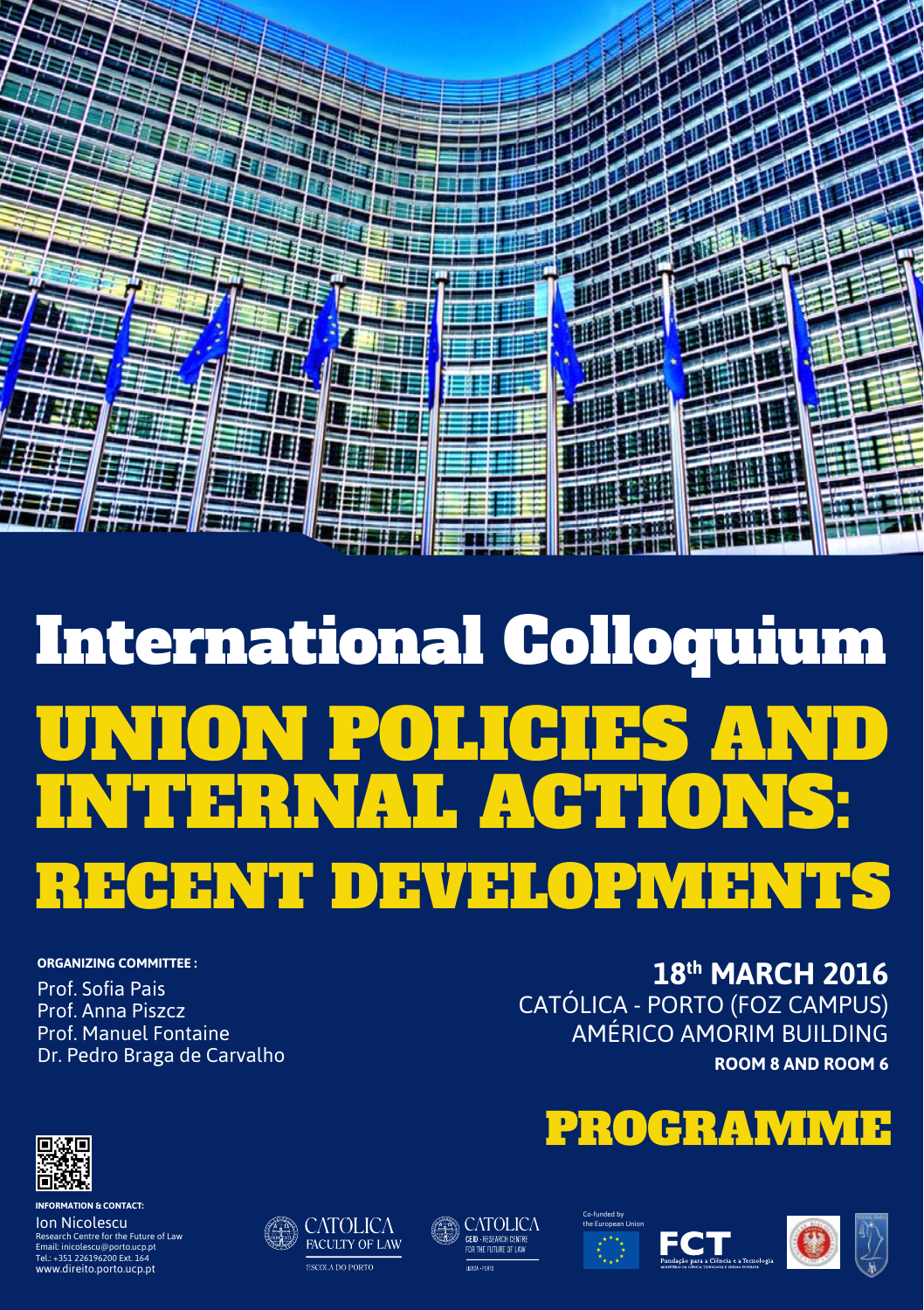

# International Colloquium UNION POLICIES AND INTERNAL ACTIONS: RECENT DEVELOPMENTS

#### **organizing Committee :**

Prof. Sofia Pais Prof. Anna Piszcz Prof. Manuel Fontaine Dr. Pedro Braga de Carvalho

## **18th MARCH 2016** CATÓLICA - PORTO (Foz Campus) AMÉRICO AMORIM BUILDING **ROOM 8 and Room 6**















FACULTY OF LAW **ESCOLA DO PORTO** 





**information & contact:** 

Ion Nicolescu Research Centre for the Future of Law Email: inicolescu@porto.ucp.pt Tel.: +351 226196200 Ext. 164 www.direito.porto.ucp.pt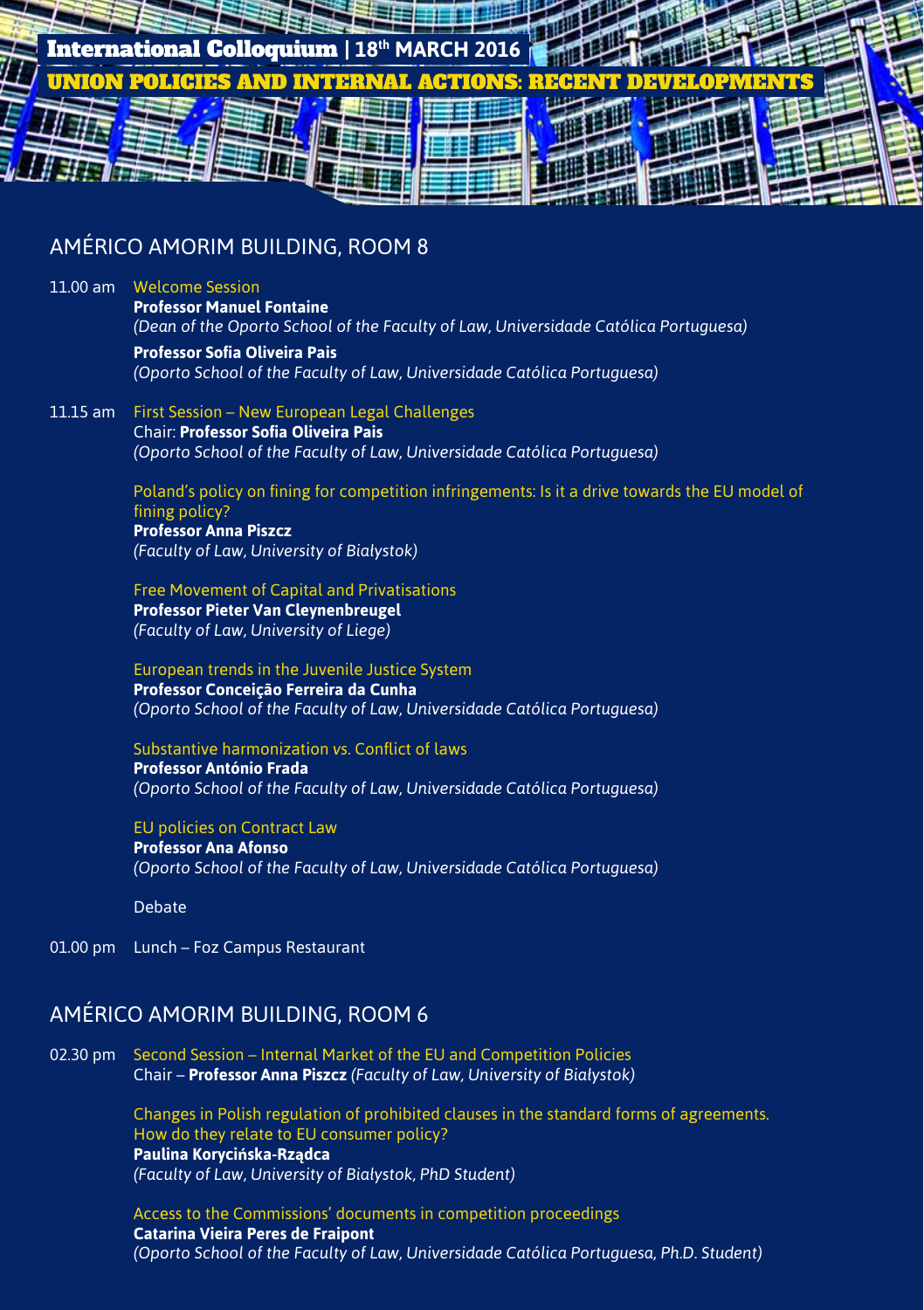

### AMÉRICO AMORIM BUILDING, ROOM 8

#### 11.00 am Welcome Session

**Professor Manuel Fontaine** *(Dean of the Oporto School of the Faculty of Law, Universidade Católica Portuguesa)*  **Professor Sofia Oliveira Pais**

*(Oporto School of the Faculty of Law, Universidade Católica Portuguesa)*

11.15 am First Session – New European Legal Challenges Chair: **Professor Sofia Oliveira Pais** *(Oporto School of the Faculty of Law, Universidade Católica Portuguesa)*

> Poland's policy on fining for competition infringements: Is it a drive towards the EU model of fining policy? **Professor Anna Piszcz**  *(Faculty of Law, University of Białystok)*

Free Movement of Capital and Privatisations

**Professor Pieter Van Cleynenbreugel** *(Faculty of Law, University of Liege)*

European trends in the Juvenile Justice System

**Professor Conceição Ferreira da Cunha** *(Oporto School of the Faculty of Law, Universidade Católica Portuguesa)*

Substantive harmonization *vs.* Conflict of laws

**Professor António Frada** *(Oporto School of the Faculty of Law, Universidade Católica Portuguesa)*

EU policies on Contract Law

**Professor Ana Afonso** *(Oporto School of the Faculty of Law, Universidade Católica Portuguesa)*

Debate

01.00 pm Lunch – Foz Campus Restaurant

#### AMÉRICO AMORIM BUILDING, ROOM 6

02.30 pm Second Session – Internal Market of the EU and Competition Policies Chair – **Professor Anna Piszcz** *(Faculty of Law, University of Białystok)*

> Changes in Polish regulation of prohibited clauses in the standard forms of agreements. How do they relate to EU consumer policy? **Paulina Korycińska-Rządca** *(Faculty of Law, University of Białystok, PhD Student)*

Access to the Commissions' documents in competition proceedings **Catarina Vieira Peres de Fraipont** *(Oporto School of the Faculty of Law, Universidade Católica Portuguesa, Ph.D. Student)*